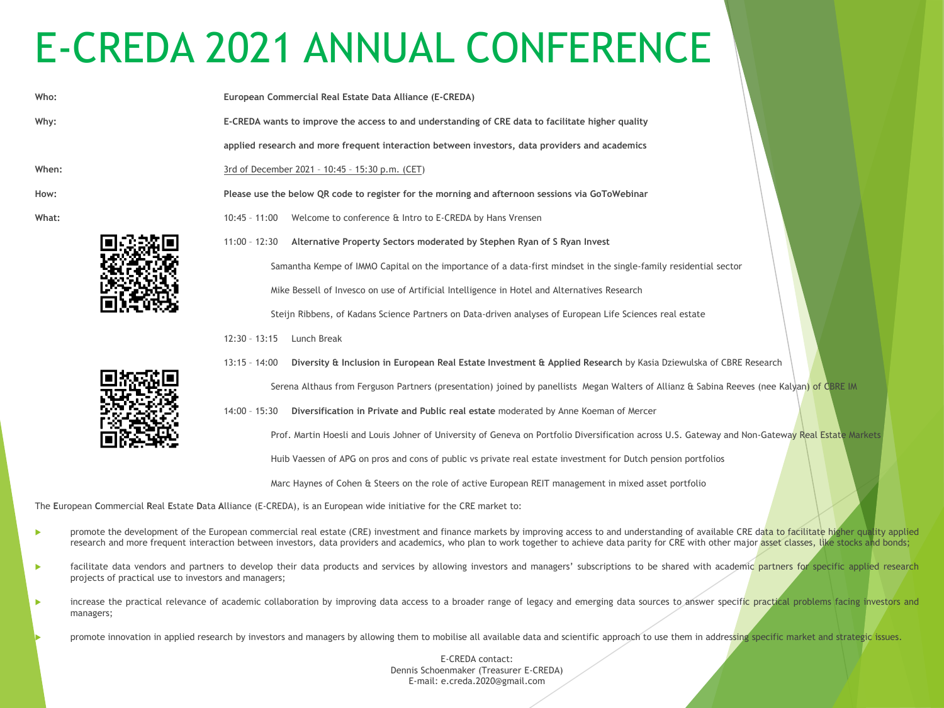## E-CREDA 2021 ANNUAL CONFERENCE

| Who:  | European Commercial Real Estate Data Alliance (E-CREDA)                                                                                    |
|-------|--------------------------------------------------------------------------------------------------------------------------------------------|
| Why:  | E-CREDA wants to improve the access to and understanding of CRE data to facilitate higher quality                                          |
|       | applied research and more frequent interaction between investors, data providers and academics                                             |
| When: | 3rd of December 2021 - 10:45 - 15:30 p.m. (CET)                                                                                            |
| How:  | Please use the below QR code to register for the morning and afternoon sessions via GoToWebinar                                            |
| What: | Welcome to conference & Intro to E-CREDA by Hans Vrensen<br>$10:45 - 11:00$                                                                |
|       | Alternative Property Sectors moderated by Stephen Ryan of S Ryan Invest<br>$11:00 - 12:30$                                                 |
|       | Samantha Kempe of IMMO Capital on the importance of a data-first mindset in the single-family residential sector                           |
|       | Mike Bessell of Invesco on use of Artificial Intelligence in Hotel and Alternatives Research                                               |
|       | Steijn Ribbens, of Kadans Science Partners on Data-driven analyses of European Life Sciences real estate                                   |
|       | $12:30 - 13:15$<br>Lunch Break                                                                                                             |
|       | Diversity & Inclusion in European Real Estate Investment & Applied Research by Kasia Dziewulska of CBRE Research<br>$13:15 - 14:00$        |
|       | Serena Althaus from Ferguson Partners (presentation) joined by panellists Megan Walters of Allianz & Sabina Reeves (nee Kalyan) of CBRE IM |
|       | Diversification in Private and Public real estate moderated by Anne Koeman of Mercer<br>$14:00 - 15:30$                                    |

Prof. Martin Hoesli and Louis Johner of University of Geneva on Portfolio Diversification across U.S. Gateway and Non-Gateway Real Estate Markets

Huib Vaessen of APG on pros and cons of public vs private real estate investment for Dutch pension portfolios

Marc Haynes of Cohen & Steers on the role of active European REIT management in mixed asset portfolio

The **E**uropean **C**ommercial **R**eal **E**state **D**ata **A**lliance (E-CREDA), is an European wide initiative for the CRE market to:

- promote the development of the European commercial real estate (CRE) investment and finance markets by improving access to and understanding of available CRE data to facilitate higher quality applied research and more frequent interaction between investors, data providers and academics, who plan to work together to achieve data parity for CRE with other major asset classes, like stocks and bonds;
- **EXECT ACC** facilitate data vendors and partners to develop their data products and services by allowing investors and managers' subscriptions to be shared with academic partners for specific applied research projects of practical use to investors and managers;
- increase the practical relevance of academic collaboration by improving data access to a broader range of legacy and emerging data sources to answer specific practical problems facing investors and managers;
	- promote innovation in applied research by investors and managers by allowing them to mobilise all available data and scientific approach to use them in addressing specific market and strategic issues.

E-CREDA contact: Dennis Schoenmaker (Treasurer E-CREDA) E-mail: e.creda.2020@gmail.com